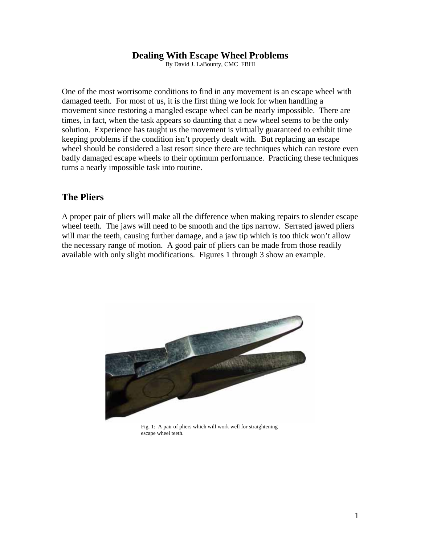#### **Dealing With Escape Wheel Problems**

By David J. LaBounty, CMC FBHI

One of the most worrisome conditions to find in any movement is an escape wheel with damaged teeth. For most of us, it is the first thing we look for when handling a movement since restoring a mangled escape wheel can be nearly impossible. There are times, in fact, when the task appears so daunting that a new wheel seems to be the only solution. Experience has taught us the movement is virtually guaranteed to exhibit time keeping problems if the condition isn't properly dealt with. But replacing an escape wheel should be considered a last resort since there are techniques which can restore even badly damaged escape wheels to their optimum performance. Practicing these techniques turns a nearly impossible task into routine.

#### **The Pliers**

A proper pair of pliers will make all the difference when making repairs to slender escape wheel teeth. The jaws will need to be smooth and the tips narrow. Serrated jawed pliers will mar the teeth, causing further damage, and a jaw tip which is too thick won't allow the necessary range of motion. A good pair of pliers can be made from those readily available with only slight modifications. Figures 1 through 3 show an example.



Fig. 1: A pair of pliers which will work well for straightening escape wheel teeth.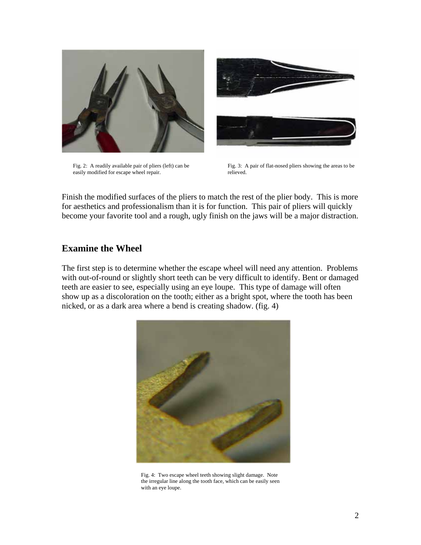

Fig. 2: A readily available pair of pliers (left) can be easily modified for escape wheel repair.



Fig. 3: A pair of flat-nosed pliers showing the areas to be relieved.

Finish the modified surfaces of the pliers to match the rest of the plier body. This is more for aesthetics and professionalism than it is for function. This pair of pliers will quickly become your favorite tool and a rough, ugly finish on the jaws will be a major distraction.

#### **Examine the Wheel**

The first step is to determine whether the escape wheel will need any attention. Problems with out-of-round or slightly short teeth can be very difficult to identify. Bent or damaged teeth are easier to see, especially using an eye loupe. This type of damage will often show up as a discoloration on the tooth; either as a bright spot, where the tooth has been nicked, or as a dark area where a bend is creating shadow. (fig. 4)



Fig. 4: Two escape wheel teeth showing slight damage. Note the irregular line along the tooth face, which can be easily seen with an eye loupe.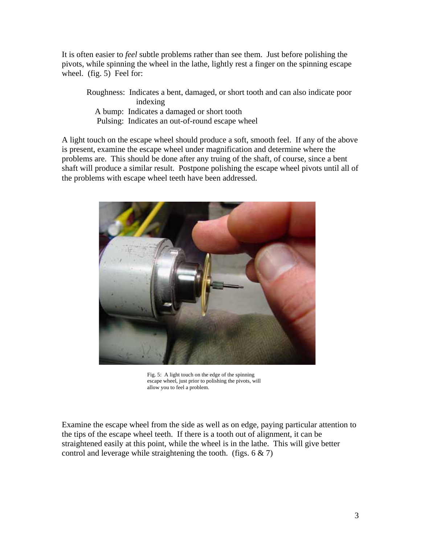It is often easier to *feel* subtle problems rather than see them. Just before polishing the pivots, while spinning the wheel in the lathe, lightly rest a finger on the spinning escape wheel. (fig. 5) Feel for:

Roughness: Indicates a bent, damaged, or short tooth and can also indicate poor indexing A bump: Indicates a damaged or short tooth Pulsing: Indicates an out-of-round escape wheel

A light touch on the escape wheel should produce a soft, smooth feel. If any of the above is present, examine the escape wheel under magnification and determine where the problems are. This should be done after any truing of the shaft, of course, since a bent shaft will produce a similar result. Postpone polishing the escape wheel pivots until all of the problems with escape wheel teeth have been addressed.



Fig. 5: A light touch on the edge of the spinning escape wheel, just prior to polishing the pivots, will allow you to feel a problem.

Examine the escape wheel from the side as well as on edge, paying particular attention to the tips of the escape wheel teeth. If there is a tooth out of alignment, it can be straightened easily at this point, while the wheel is in the lathe. This will give better control and leverage while straightening the tooth. (figs.  $6 \& 7$ )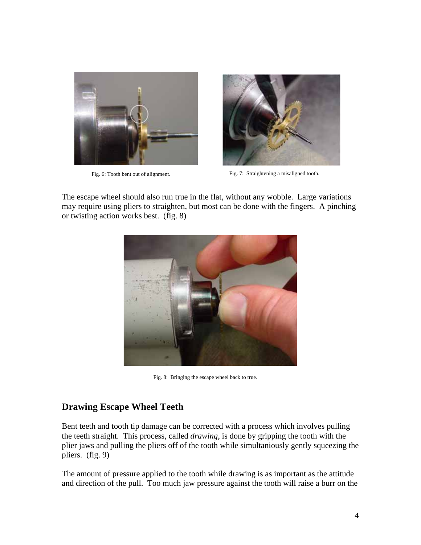



Fig. 6: Tooth bent out of alignment. Fig. 7: Straightening a misaligned tooth.

The escape wheel should also run true in the flat, without any wobble. Large variations may require using pliers to straighten, but most can be done with the fingers. A pinching or twisting action works best. (fig. 8)



Fig. 8: Bringing the escape wheel back to true.

# **Drawing Escape Wheel Teeth**

Bent teeth and tooth tip damage can be corrected with a process which involves pulling the teeth straight. This process, called *drawing*, is done by gripping the tooth with the plier jaws and pulling the pliers off of the tooth while simultaniously gently squeezing the pliers. (fig. 9)

The amount of pressure applied to the tooth while drawing is as important as the attitude and direction of the pull. Too much jaw pressure against the tooth will raise a burr on the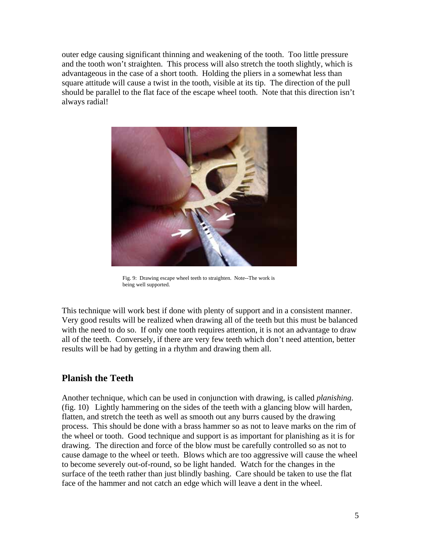outer edge causing significant thinning and weakening of the tooth. Too little pressure and the tooth won't straighten. This process will also stretch the tooth slightly, which is advantageous in the case of a short tooth. Holding the pliers in a somewhat less than square attitude will cause a twist in the tooth, visible at its tip. The direction of the pull should be parallel to the flat face of the escape wheel tooth. Note that this direction isn't always radial!



Fig. 9: Drawing escape wheel teeth to straighten. Note--The work is being well supported.

This technique will work best if done with plenty of support and in a consistent manner. Very good results will be realized when drawing all of the teeth but this must be balanced with the need to do so. If only one tooth requires attention, it is not an advantage to draw all of the teeth. Conversely, if there are very few teeth which don't need attention, better results will be had by getting in a rhythm and drawing them all.

# **Planish the Teeth**

Another technique, which can be used in conjunction with drawing, is called *planishing*. (fig. 10) Lightly hammering on the sides of the teeth with a glancing blow will harden, flatten, and stretch the teeth as well as smooth out any burrs caused by the drawing process. This should be done with a brass hammer so as not to leave marks on the rim of the wheel or tooth. Good technique and support is as important for planishing as it is for drawing. The direction and force of the blow must be carefully controlled so as not to cause damage to the wheel or teeth. Blows which are too aggressive will cause the wheel to become severely out-of-round, so be light handed. Watch for the changes in the surface of the teeth rather than just blindly bashing. Care should be taken to use the flat face of the hammer and not catch an edge which will leave a dent in the wheel.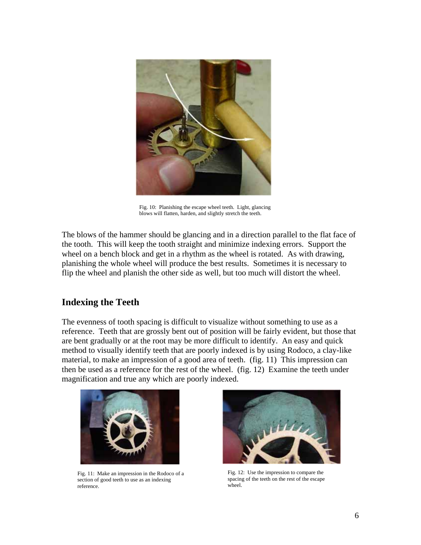

Fig. 10: Planishing the escape wheel teeth. Light, glancing blows will flatten, harden, and slightly stretch the teeth.

The blows of the hammer should be glancing and in a direction parallel to the flat face of the tooth. This will keep the tooth straight and minimize indexing errors. Support the wheel on a bench block and get in a rhythm as the wheel is rotated. As with drawing, planishing the whole wheel will produce the best results. Sometimes it is necessary to flip the wheel and planish the other side as well, but too much will distort the wheel.

# **Indexing the Teeth**

The evenness of tooth spacing is difficult to visualize without something to use as a reference. Teeth that are grossly bent out of position will be fairly evident, but those that are bent gradually or at the root may be more difficult to identify. An easy and quick method to visually identify teeth that are poorly indexed is by using Rodoco, a clay-like material, to make an impression of a good area of teeth. (fig. 11) This impression can then be used as a reference for the rest of the wheel. (fig. 12) Examine the teeth under magnification and true any which are poorly indexed.



Fig. 11: Make an impression in the Rodoco of a section of good teeth to use as an indexing reference.



Fig. 12: Use the impression to compare the spacing of the teeth on the rest of the escape wheel.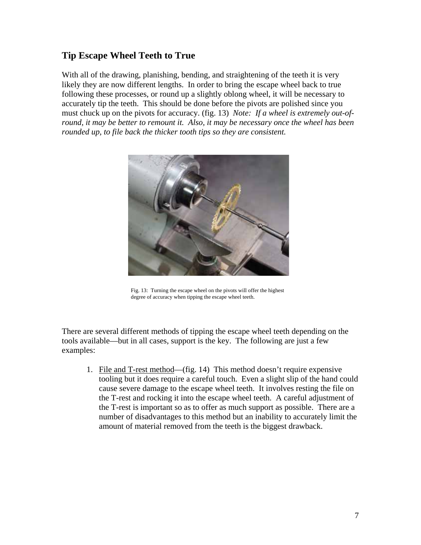# **Tip Escape Wheel Teeth to True**

With all of the drawing, planishing, bending, and straightening of the teeth it is very likely they are now different lengths. In order to bring the escape wheel back to true following these processes, or round up a slightly oblong wheel, it will be necessary to accurately tip the teeth. This should be done before the pivots are polished since you must chuck up on the pivots for accuracy. (fig. 13) *Note: If a wheel is extremely out-ofround, it may be better to remount it. Also, it may be necessary once the wheel has been rounded up, to file back the thicker tooth tips so they are consistent.*



Fig. 13: Turning the escape wheel on the pivots will offer the highest degree of accuracy when tipping the escape wheel teeth.

There are several different methods of tipping the escape wheel teeth depending on the tools available—but in all cases, support is the key. The following are just a few examples:

1. File and T-rest method—(fig. 14) This method doesn't require expensive tooling but it does require a careful touch. Even a slight slip of the hand could cause severe damage to the escape wheel teeth. It involves resting the file on the T-rest and rocking it into the escape wheel teeth. A careful adjustment of the T-rest is important so as to offer as much support as possible. There are a number of disadvantages to this method but an inability to accurately limit the amount of material removed from the teeth is the biggest drawback.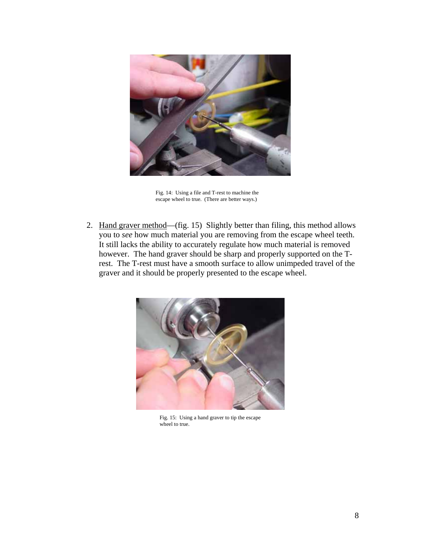

Fig. 14: Using a file and T-rest to machine the escape wheel to true. (There are better ways.)

2. Hand graver method—(fig. 15) Slightly better than filing, this method allows you to *see* how much material you are removing from the escape wheel teeth. It still lacks the ability to accurately regulate how much material is removed however. The hand graver should be sharp and properly supported on the Trest. The T-rest must have a smooth surface to allow unimpeded travel of the graver and it should be properly presented to the escape wheel.



Fig. 15: Using a hand graver to tip the escape wheel to true.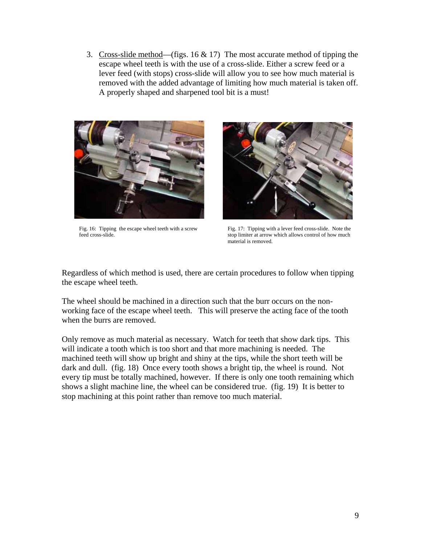3. Cross-slide method—(figs. 16  $\&$  17) The most accurate method of tipping the escape wheel teeth is with the use of a cross-slide. Either a screw feed or a lever feed (with stops) cross-slide will allow you to see how much material is removed with the added advantage of limiting how much material is taken off. A properly shaped and sharpened tool bit is a must!



Fig. 16: Tipping the escape wheel teeth with a screw feed cross-slide.



Fig. 17: Tipping with a lever feed cross-slide. Note the stop limiter at arrow which allows control of how much material is removed.

Regardless of which method is used, there are certain procedures to follow when tipping the escape wheel teeth.

The wheel should be machined in a direction such that the burr occurs on the nonworking face of the escape wheel teeth. This will preserve the acting face of the tooth when the burrs are removed.

Only remove as much material as necessary. Watch for teeth that show dark tips. This will indicate a tooth which is too short and that more machining is needed. The machined teeth will show up bright and shiny at the tips, while the short teeth will be dark and dull. (fig. 18) Once every tooth shows a bright tip, the wheel is round. Not every tip must be totally machined, however. If there is only one tooth remaining which shows a slight machine line, the wheel can be considered true. (fig. 19) It is better to stop machining at this point rather than remove too much material.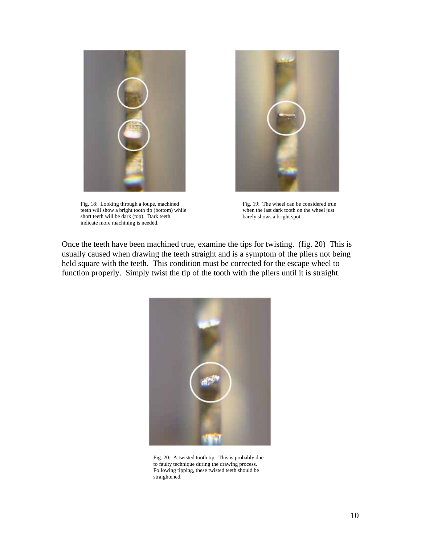

Fig. 18: Looking through a loupe, machined teeth will show a bright tooth tip (bottom) while short teeth will be dark (top). Dark teeth indicate more machining is needed.



Fig. 19: The wheel can be considered true when the last dark tooth on the wheel just barely shows a bright spot.

Once the teeth have been machined true, examine the tips for twisting. (fig. 20) This is usually caused when drawing the teeth straight and is a symptom of the pliers not being held square with the teeth. This condition must be corrected for the escape wheel to function properly. Simply twist the tip of the tooth with the pliers until it is straight.



Fig. 20: A twisted tooth tip. This is probably due to faulty technique during the drawing process. Following tipping, these twisted teeth should be straightened.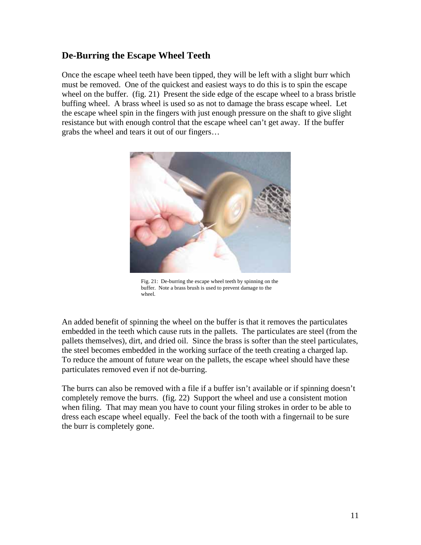# **De-Burring the Escape Wheel Teeth**

Once the escape wheel teeth have been tipped, they will be left with a slight burr which must be removed. One of the quickest and easiest ways to do this is to spin the escape wheel on the buffer. (fig. 21) Present the side edge of the escape wheel to a brass bristle buffing wheel. A brass wheel is used so as not to damage the brass escape wheel. Let the escape wheel spin in the fingers with just enough pressure on the shaft to give slight resistance but with enough control that the escape wheel can't get away. If the buffer grabs the wheel and tears it out of our fingers…



Fig. 21: De-burring the escape wheel teeth by spinning on the buffer. Note a brass brush is used to prevent damage to the wheel.

An added benefit of spinning the wheel on the buffer is that it removes the particulates embedded in the teeth which cause ruts in the pallets. The particulates are steel (from the pallets themselves), dirt, and dried oil. Since the brass is softer than the steel particulates, the steel becomes embedded in the working surface of the teeth creating a charged lap. To reduce the amount of future wear on the pallets, the escape wheel should have these particulates removed even if not de-burring.

The burrs can also be removed with a file if a buffer isn't available or if spinning doesn't completely remove the burrs. (fig. 22) Support the wheel and use a consistent motion when filing. That may mean you have to count your filing strokes in order to be able to dress each escape wheel equally. Feel the back of the tooth with a fingernail to be sure the burr is completely gone.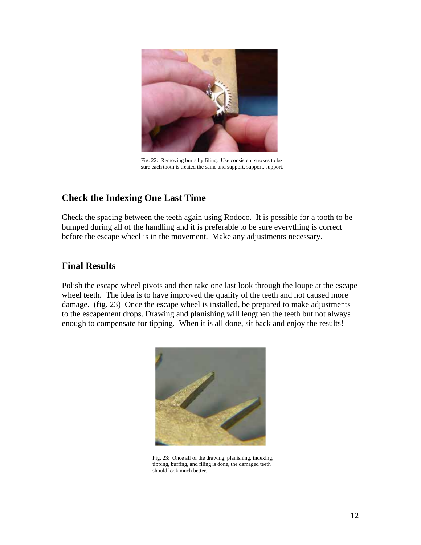

Fig. 22: Removing burrs by filing. Use consistent strokes to be sure each tooth is treated the same and support, support, support.

# **Check the Indexing One Last Time**

Check the spacing between the teeth again using Rodoco. It is possible for a tooth to be bumped during all of the handling and it is preferable to be sure everything is correct before the escape wheel is in the movement. Make any adjustments necessary.

#### **Final Results**

Polish the escape wheel pivots and then take one last look through the loupe at the escape wheel teeth. The idea is to have improved the quality of the teeth and not caused more damage. (fig. 23) Once the escape wheel is installed, be prepared to make adjustments to the escapement drops. Drawing and planishing will lengthen the teeth but not always enough to compensate for tipping. When it is all done, sit back and enjoy the results!



Fig. 23: Once all of the drawing, planishing, indexing, tipping, buffing, and filing is done, the damaged teeth should look much better.